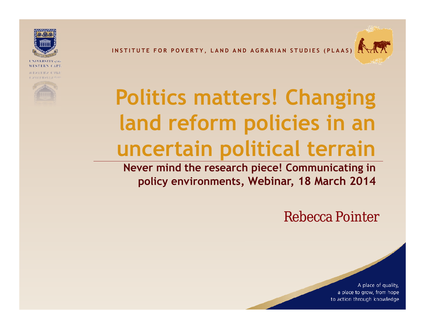**INSTITUTE FOR POVERTY, LAND AND AGRARIAN STUDIES (PLAAS** 



REPERRY CVL1



# **Politics matters! Changing land reform policies in an uncertain political terrain**

**Never mind the research piece! Communicating in policy environments, Webinar, 18 March 2014**

Rebecca Pointer

A place of quality, a place to grow, from hope to action through knowledge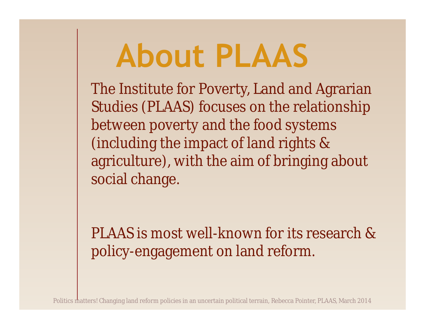# **About PLAAS**

The Institute for Poverty, Land and Agrarian Studies (PLAAS) focuses on the relationship between poverty and the food systems (including the impact of land rights & agriculture), with the aim of bringing about social change.

PLAAS is most well-known for its research & policy-engagement on land reform.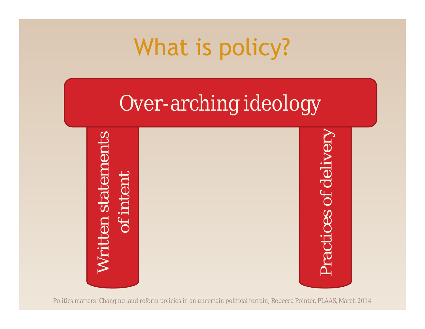## What is policy?

### Over-arching ideology

Written statements<br>of intent<br>Practices of delivery

Politics matters! Changing land reform policies in an uncertain political terrain, Rebecca Pointer, PLAAS, March 2014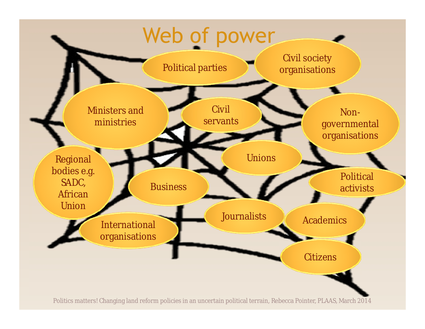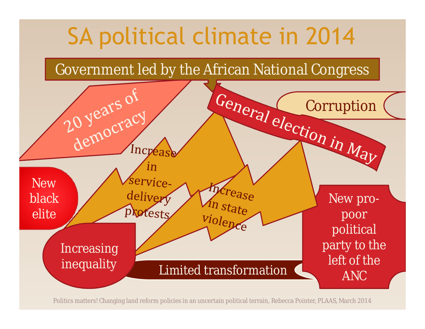

Politics matters! Changing land reform policies in an uncertain political terrain, Rebecca Pointer, PLAAS, March 2014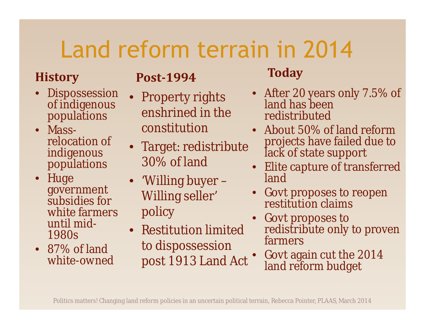# Land reform terrain in 2014

#### **History**

- **Dispossession** of indigenous populations<br>• Mass-
- relocation of indigenous populations
- Huge government subsidies for white farmers until mid- 1980s
- 87% of land white-owned

#### **Post-1994**

- Property rights enshrined in the constitution
- Target: redistribute 30% of land
- 'Willing buyer Willing seller' policy
- Restitution limited to dispossession post 1913 Land Act

#### **Today**

- After 20 years only 7.5% of land has been redistributed
- About 50% of land reform projects have failed due to lack of state support
- Elite capture of transferred land
- Govt proposes to reopen restitution claims
- Govt proposes to redistribute only to proven farmers
- Govt again cut the 2014 land reform budget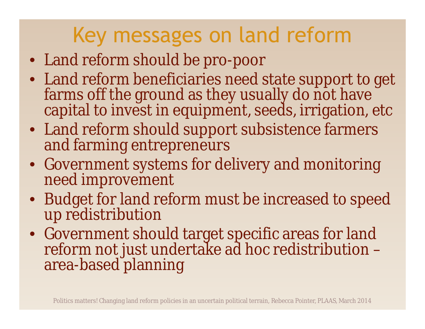### Key messages on land reform

- Land reform should be pro-poor
- Land reform beneficiaries need state support to get farms off the ground as they usually do not have capital to invest in equipment, seeds, irrigation, etc
- Land reform should support subsistence farmers and farming entrepreneurs
- Government systems for delivery and monitoring need improvement
- Budget for land reform must be increased to speed up redistribution
- Government should target specific areas for land reform not just undertake ad hoc redistribution – area-based planning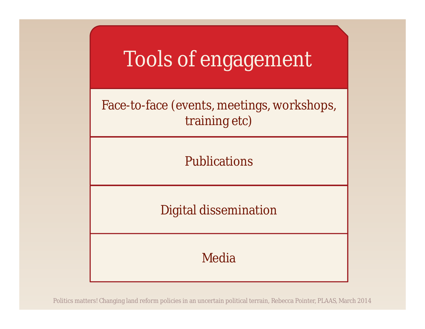

Politics matters! Changing land reform policies in an uncertain political terrain, Rebecca Pointer, PLAAS, March 2014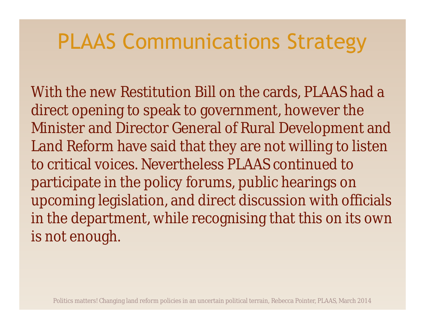### PLAAS Communications Strategy

With the new Restitution Bill on the cards, PLAAS had a direct opening to speak to government, however the Minister and Director General of Rural Development and Land Reform have said that they are not willing to listen to critical voices. Nevertheless PLAAS continued to participate in the policy forums, public hearings on upcoming legislation, and direct discussion with officials in the department, while recognising that this on its own is not enough.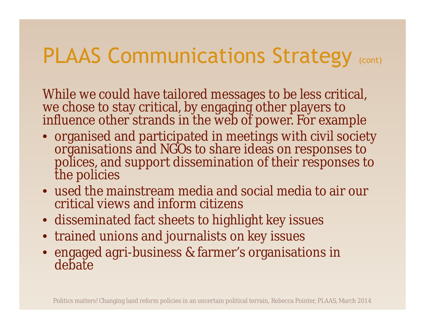### PLAAS Communications Strategy (CONt)

While we could have tailored messages to be less critical, we chose to stay critical, by engaging other players to influence other strands in the web of power. For example

- organised and participated in meetings with civil society organisations and NGOs to share ideas on responses to polices, and support dissemination of their responses to the policies
- used the mainstream media and social media to air our critical views and inform citizens
- disseminated fact sheets to highlight key issues
- trained unions and journalists on key issues
- engaged agri-business & farmer's organisations in debate